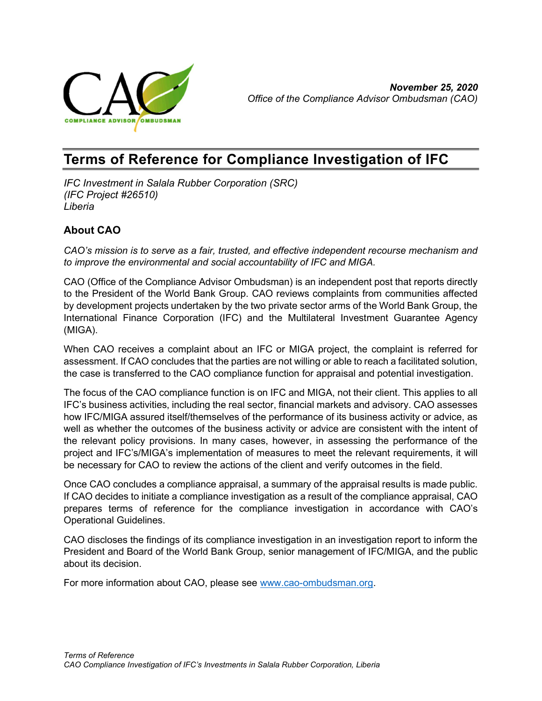

# Terms of Reference for Compliance Investigation of IFC

IFC Investment in Salala Rubber Corporation (SRC) (IFC Project #26510) Liberia

# About CAO

CAO's mission is to serve as a fair, trusted, and effective independent recourse mechanism and to improve the environmental and social accountability of IFC and MIGA.

CAO (Office of the Compliance Advisor Ombudsman) is an independent post that reports directly to the President of the World Bank Group. CAO reviews complaints from communities affected by development projects undertaken by the two private sector arms of the World Bank Group, the International Finance Corporation (IFC) and the Multilateral Investment Guarantee Agency (MIGA).

When CAO receives a complaint about an IFC or MIGA project, the complaint is referred for assessment. If CAO concludes that the parties are not willing or able to reach a facilitated solution, the case is transferred to the CAO compliance function for appraisal and potential investigation.

The focus of the CAO compliance function is on IFC and MIGA, not their client. This applies to all IFC's business activities, including the real sector, financial markets and advisory. CAO assesses how IFC/MIGA assured itself/themselves of the performance of its business activity or advice, as well as whether the outcomes of the business activity or advice are consistent with the intent of the relevant policy provisions. In many cases, however, in assessing the performance of the project and IFC's/MIGA's implementation of measures to meet the relevant requirements, it will be necessary for CAO to review the actions of the client and verify outcomes in the field.

Once CAO concludes a compliance appraisal, a summary of the appraisal results is made public. If CAO decides to initiate a compliance investigation as a result of the compliance appraisal, CAO prepares terms of reference for the compliance investigation in accordance with CAO's Operational Guidelines.

CAO discloses the findings of its compliance investigation in an investigation report to inform the President and Board of the World Bank Group, senior management of IFC/MIGA, and the public about its decision.

For more information about CAO, please see www.cao-ombudsman.org.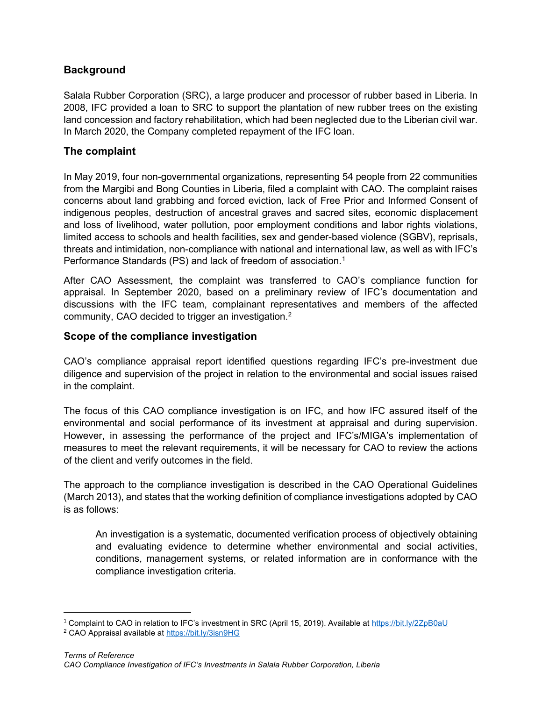## **Background**

Salala Rubber Corporation (SRC), a large producer and processor of rubber based in Liberia. In 2008, IFC provided a loan to SRC to support the plantation of new rubber trees on the existing land concession and factory rehabilitation, which had been neglected due to the Liberian civil war. In March 2020, the Company completed repayment of the IFC loan.

#### The complaint

In May 2019, four non-governmental organizations, representing 54 people from 22 communities from the Margibi and Bong Counties in Liberia, filed a complaint with CAO. The complaint raises concerns about land grabbing and forced eviction, lack of Free Prior and Informed Consent of indigenous peoples, destruction of ancestral graves and sacred sites, economic displacement and loss of livelihood, water pollution, poor employment conditions and labor rights violations, limited access to schools and health facilities, sex and gender-based violence (SGBV), reprisals, threats and intimidation, non-compliance with national and international law, as well as with IFC's Performance Standards (PS) and lack of freedom of association.<sup>1</sup>

After CAO Assessment, the complaint was transferred to CAO's compliance function for appraisal. In September 2020, based on a preliminary review of IFC's documentation and discussions with the IFC team, complainant representatives and members of the affected community, CAO decided to trigger an investigation.<sup>2</sup>

## Scope of the compliance investigation

CAO's compliance appraisal report identified questions regarding IFC's pre-investment due diligence and supervision of the project in relation to the environmental and social issues raised in the complaint.

The focus of this CAO compliance investigation is on IFC, and how IFC assured itself of the environmental and social performance of its investment at appraisal and during supervision. However, in assessing the performance of the project and IFC's/MIGA's implementation of measures to meet the relevant requirements, it will be necessary for CAO to review the actions of the client and verify outcomes in the field.

The approach to the compliance investigation is described in the CAO Operational Guidelines (March 2013), and states that the working definition of compliance investigations adopted by CAO is as follows:

An investigation is a systematic, documented verification process of objectively obtaining and evaluating evidence to determine whether environmental and social activities, conditions, management systems, or related information are in conformance with the compliance investigation criteria.

<sup>&</sup>lt;sup>1</sup> Complaint to CAO in relation to IFC's investment in SRC (April 15, 2019). Available at https://bit.ly/2ZpB0aU

<sup>&</sup>lt;sup>2</sup> CAO Appraisal available at https://bit.ly/3isn9HG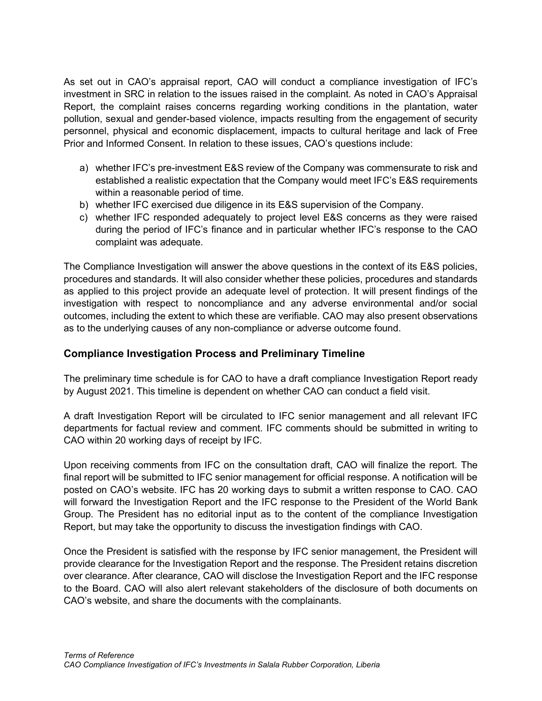As set out in CAO's appraisal report, CAO will conduct a compliance investigation of IFC's investment in SRC in relation to the issues raised in the complaint. As noted in CAO's Appraisal Report, the complaint raises concerns regarding working conditions in the plantation, water pollution, sexual and gender-based violence, impacts resulting from the engagement of security personnel, physical and economic displacement, impacts to cultural heritage and lack of Free Prior and Informed Consent. In relation to these issues, CAO's questions include:

- a) whether IFC's pre-investment E&S review of the Company was commensurate to risk and established a realistic expectation that the Company would meet IFC's E&S requirements within a reasonable period of time.
- b) whether IFC exercised due diligence in its E&S supervision of the Company.
- c) whether IFC responded adequately to project level E&S concerns as they were raised during the period of IFC's finance and in particular whether IFC's response to the CAO complaint was adequate.

The Compliance Investigation will answer the above questions in the context of its E&S policies, procedures and standards. It will also consider whether these policies, procedures and standards as applied to this project provide an adequate level of protection. It will present findings of the investigation with respect to noncompliance and any adverse environmental and/or social outcomes, including the extent to which these are verifiable. CAO may also present observations as to the underlying causes of any non-compliance or adverse outcome found.

#### Compliance Investigation Process and Preliminary Timeline

The preliminary time schedule is for CAO to have a draft compliance Investigation Report ready by August 2021. This timeline is dependent on whether CAO can conduct a field visit.

A draft Investigation Report will be circulated to IFC senior management and all relevant IFC departments for factual review and comment. IFC comments should be submitted in writing to CAO within 20 working days of receipt by IFC.

Upon receiving comments from IFC on the consultation draft, CAO will finalize the report. The final report will be submitted to IFC senior management for official response. A notification will be posted on CAO's website. IFC has 20 working days to submit a written response to CAO. CAO will forward the Investigation Report and the IFC response to the President of the World Bank Group. The President has no editorial input as to the content of the compliance Investigation Report, but may take the opportunity to discuss the investigation findings with CAO.

Once the President is satisfied with the response by IFC senior management, the President will provide clearance for the Investigation Report and the response. The President retains discretion over clearance. After clearance, CAO will disclose the Investigation Report and the IFC response to the Board. CAO will also alert relevant stakeholders of the disclosure of both documents on CAO's website, and share the documents with the complainants.